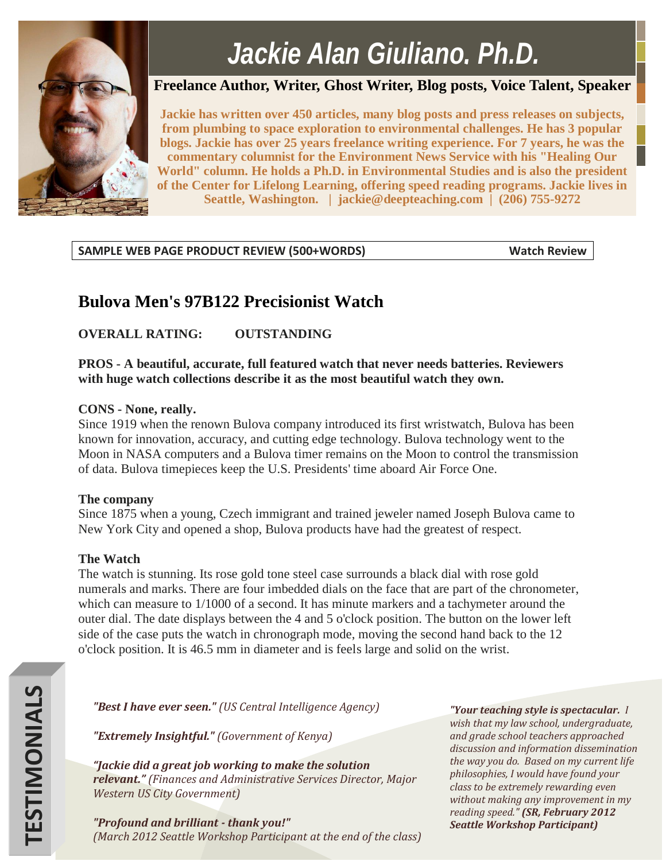

# *Jackie Alan Giuliano, Ph.D.*

# **Freelance Author, Writer, Ghost Writer, Blog posts, Voice Talent, Speaker**

**Jackie has written over 450 articles, many blog posts and press releases on subjects, from plumbing to space exploration to environmental challenges. He has 3 popular blogs. Jackie has over 25 years freelance writing experience. For 7 years, he was the commentary columnist for the Environment News Service with his "Healing Our World" column. He holds a Ph.D. in Environmental Studies and is also the president of the Center for Lifelong Learning, offering speed reading programs. Jackie lives in Seattle, Washington. | jackie@deepteaching.com | (206) 755-9272**

# **SAMPLE WEB PAGE PRODUCT REVIEW (500+WORDS) Watch Review**

# **Bulova Men's 97B122 Precisionist Watch**

# **OVERALL RATING: OUTSTANDING**

**PROS - A beautiful, accurate, full featured watch that never needs batteries. Reviewers with huge watch collections describe it as the most beautiful watch they own.** 

## **CONS - None, really.**

Since 1919 when the renown Bulova company introduced its first wristwatch, Bulova has been known for innovation, accuracy, and cutting edge technology. Bulova technology went to the Moon in NASA computers and a Bulova timer remains on the Moon to control the transmission of data. Bulova timepieces keep the U.S. Presidents' time aboard Air Force One.

### **The company**

Since 1875 when a young, Czech immigrant and trained jeweler named Joseph Bulova came to New York City and opened a shop, Bulova products have had the greatest of respect.

## **The Watch**

The watch is stunning. Its rose gold tone steel case surrounds a black dial with rose gold numerals and marks. There are four imbedded dials on the face that are part of the chronometer, which can measure to 1/1000 of a second. It has minute markers and a tachymeter around the outer dial. The date displays between the 4 and 5 o'clock position. The button on the lower left side of the case puts the watch in chronograph mode, moving the second hand back to the 12 o'clock position. It is 46.5 mm in diameter and is feels large and solid on the wrist.

*"Best I have ever seen." (US Central Intelligence Agency)*

*"Extremely Insightful." (Government of Kenya)*

*"Jackie did a great job working to make the solution relevant." (Finances and Administrative Services Director, Major Western US City Government)*

*"Profound and brilliant - thank you!" (March 2012 Seattle Workshop Participant at the end of the class)*

*"Your teaching style is spectacular. I wish that my law school, undergraduate, and grade school teachers approached discussion and information dissemination the way you do. Based on my current life philosophies, I would have found your class to be extremely rewarding even without making any improvement in my reading speed." (SR, February 2012 Seattle Workshop Participant)*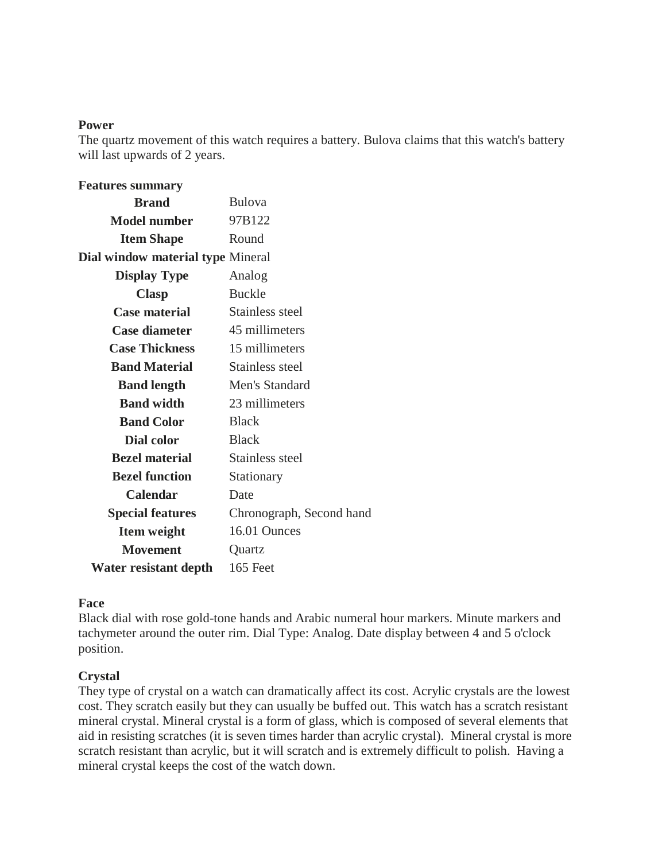#### **Power**

The quartz movement of this watch requires a battery. Bulova claims that this watch's battery will last upwards of 2 years.

| <b>Features summary</b>                  |                          |
|------------------------------------------|--------------------------|
| <b>Brand</b>                             | <b>Bulova</b>            |
| <b>Model number</b>                      | 97B122                   |
| <b>Item Shape</b>                        | Round                    |
| <b>Dial window material type Mineral</b> |                          |
| <b>Display Type</b>                      | Analog                   |
| <b>Clasp</b>                             | <b>Buckle</b>            |
| <b>Case material</b>                     | Stainless steel          |
| <b>Case diameter</b>                     | 45 millimeters           |
| <b>Case Thickness</b>                    | 15 millimeters           |
| <b>Band Material</b>                     | Stainless steel          |
| <b>Band length</b>                       | Men's Standard           |
| <b>Band width</b>                        | 23 millimeters           |
| <b>Band Color</b>                        | <b>Black</b>             |
| Dial color                               | <b>Black</b>             |
| <b>Bezel material</b>                    | Stainless steel          |
| <b>Bezel function</b>                    | Stationary               |
| <b>Calendar</b>                          | Date                     |
| <b>Special features</b>                  | Chronograph, Second hand |
| <b>Item weight</b>                       | 16.01 Ounces             |
| <b>Movement</b>                          | Quartz                   |
| Water resistant depth                    | 165 Feet                 |

#### **Face**

Black dial with rose gold-tone hands and Arabic numeral hour markers. Minute markers and tachymeter around the outer rim. Dial Type: Analog. Date display between 4 and 5 o'clock position.

#### **Crystal**

They type of crystal on a watch can dramatically affect its cost. Acrylic crystals are the lowest cost. They scratch easily but they can usually be buffed out. This watch has a scratch resistant mineral crystal. Mineral crystal is a form of glass, which is composed of several elements that aid in resisting scratches (it is seven times harder than acrylic crystal). Mineral crystal is more scratch resistant than acrylic, but it will scratch and is extremely difficult to polish. Having a mineral crystal keeps the cost of the watch down.